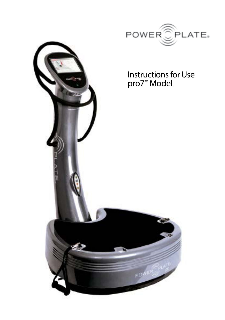

# Instructions for Use

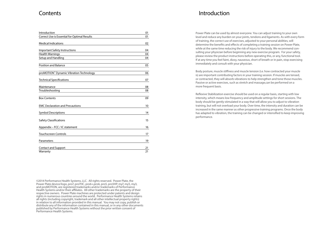### **Contents**

| Introduction                                        | 01 |
|-----------------------------------------------------|----|
| Correct Use is Essential for Optimal Results        | 01 |
| <b>Medical Indications</b>                          | 02 |
| <b>Important Safety Instructions</b>                | 04 |
| <b>Health Warnings</b>                              | 04 |
| Setup and Handling                                  | 04 |
| <b>Position and Balance</b>                         | 05 |
| proMOTION <sup>®</sup> Dynamic Vibration Technology | 06 |
| <b>Technical Specifications</b>                     | 07 |
| Maintenance                                         | 08 |
| Troubleshooting                                     | 08 |
| <b>Box Contents</b>                                 | 09 |
| <b>EMC Declaration and Precautions</b>              | 10 |
| <b>Symbol Descriptions</b>                          | 14 |
| <b>Safety Classifications</b>                       | 15 |
| Appendix - FCC / IC statement                       | 16 |
| <b>Touchscreen Controls</b>                         | 17 |
| Parameters                                          | 19 |
| <b>Contact and Support</b>                          | 21 |
| Warranty                                            | 21 |

©2014 Performance Health Systems, LLC. All rights reserved. Power Plate, the Power Plate device/logo, pro7, pro7HC, pro6+,pro6, pro5, pro5HP, my7, my5, my3, and proMOTION, are registered trademarks and/or trademarks of Performance Health Systems and/or their affiliates. All other trademarks are the property of their respective owners. Power Plate machines are protected under patents and design rights in numerous countries around the world. Performance Health Systems retains all rights (including copyright, trademark and all other intellectual property rights) in relation to all information provided in this manual. You may not copy, publish or distribute any of the information contained in this manual, or in any other documents published by Performance Health Systems without the prior written consent of Performance Health Systems.

### Introduction

Power Plate can be used by almost everyone. You can adjust training to your own level and reduce any burden on your joints, tendons and ligaments. As with every form of training, the correct use of exercises, adjusted to your personal abilities, will determine the benefits and effects of completing a training session on Power Plate, while at the same time reducing the risk of injury to the body. We recommend consulting your physician before beginning any new exercise program. For your safety, please review the product instructions before operating this, or any, functional tool. If at any time you feel faint, dizzy, nauseous, short of breath or in pain, stop exercising immediately and consult with your physician.

Body posture, muscle stiffness and muscle tension (i.e. how contracted your muscle is) are important contributing factors in your training session. If muscles are tensed, or contracted, they will absorb vibrations to help strengthen and tone those muscles. Passive or active exercises, such as stretch and massage,can be performed on a more frequent basis.

Reflexive Stabilization exercise should be used on a regular basis, starting with low intensity, which means low frequency and amplitude settings for short sessions. The body should be gently stimulated in a way that will allow you to adjust to vibration training, but will not overload your body. Over time, the intensity and duration can be increased in the same manner as other progressive training programs. Once the body has adapted to vibration, the training can be changed or intensified to keep improving performance.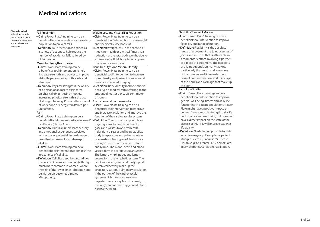### Medical Indications

#### Fall Prevention

indications include use in relation to the prevention, treatment and/or alleviation of disease.

Claimed medical

Claim: Power Plate® training can be a beneficial tool/intervention for the elderly population to prevent falls. Definition: Fall prevention is defined as

a variety of actions to help reduce the number of accidental falls suffered by older people.

#### Muscular Strength and Power

- Claim: Power Plate training can be a beneficial tool/intervention to help increase strength and power to improve daily life performance, both acute and structural.
- Definition: Physical strength is the ability of a person or animal to exert force on physical objects using muscles. Increasing physical strength is the goal of strength training. Power is the amount of work done or energy transferred per unit of time.

#### Pain

- Claim: Power Plate training can be a beneficial tool/intervention to reduce and/ or alleviate (chronic) pain.
- Definition: Pain is an unpleasant sensory and emotional experience associated with actual or potential tissue damage, or described in terms of such damage.

#### Cellulite

- Claim: Power Plate training can be a beneficial tool/intervention to diminish the appearance of cellulite.
- Definition: Cellulite describes a condition that occurs in men and women (although much more common in women) where the skin of the lower limbs, abdomen and pelvic region becomes dimpled after puberty.

#### Weight Loss and Visceral Fat Reduction

- Claim: Power Plate training can be a beneficial tool/intervention to lose weight and specifically lose body fat.
- Definition: Weight loss, in the context of medicine, health or physical fitness, is a reduction of the total body weight, due to a mean loss of fluid, body fat or adipose tissue and/or lean mass.

#### Bone Density/Bone Mineral Density Claim: Power Plate training can be a

- beneficial tool/intervention to increase bone density and prevent bone mineral density loss related to aging.
- Definition: Bone density (or bone mineral density) is a medical term referring to the amount of matter per cubic centimeter of bones.

#### Circulation and Cardiovascular

Claim: Power Plate training can be a beneficial tool/intervention to improve and increase circulation and improve the function of the cardiovascular system. Definition: The circulatory system is an organ system that moves nutrients, gases and wastes to and from cells, helps fight diseases and helps stabilize body temperature and pH to maintain homeostasis. Two types of fluids move through the circulatory system: blood and lymph. The blood, heart and blood vessels form the cardiovascular system. The lymph, lymph nodes and lymph vessels form the lymphatic system. The cardiovascular system and the lymphatic system collectively make up the circulatory system. Pulmonary circulation is the portion of the cardiovascular system which transports oxygendepleted blood away from the heart, to the lungs, and returns oxygenated blood back to the heart.

#### Flexibility/Range of Motion

- Claim: Power Plate® training can be a beneficial tool/intervention to improve flexibility and range of motion.
- Definition: Flexibility is the absolute range of movement in a joint or series of joints and muscles that is attainable in a momentary effort involving a partner or a piece of equipment. The flexibility of a joint depends on many factors, particularly the length and looseness of the muscles and ligaments due to normal human variation, and the shape of the bones and cartilage that make up the joint.

#### Pathology Studies

- Claim: Power Plate training can be a beneficial tool/intervention to improve general well being, fitness and daily life functioning in patient populations. Power Plate might have a positive impact on general fitness, muscle strength, daily life performance and well being but does not have a direct impact on the state of the disease or injury. It will improve patient's life quality.
- Definition: No definition possible for this very diverse group. Examples of patients: Multiple Sclerosis, Parkinson's Disease, Fibromyalgia, Cerebral Palsy, Spinal Cord Injury, Diabetes, Cardiac Rehabilitation.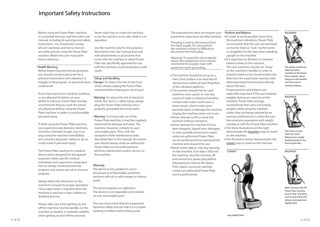### Important Safety Instructions

Before using the Power Plate<sup>®</sup> machine, it is essential that you read the entire user manual, including all warnings and safety instructions. You should also convey all such warnings and instructions to any other person using the Power Plate machine. Retain this user manual for future reference.

#### ! Health Warning

Before beginning any exercise program, you should consult a physician for a physical examination and clearance to engage in the program, or personal injury ! Danger: To reduce the risk of electrical could result.

If you have any known medical condition, or any physical limitation on your ability to exercise, Power Plate strongly recommends that you seek the advice of a physician before using the Power Plate machine, in order to avoid possible personal injury.

If while using the Power Plate machine, you experience any dizziness, faintness, shortness of breath or pain, you must stop using the machine immediately and consult a physician. Failure to do so could result in personal injury.

The Power Plate machine is a medical device and is designed for therapeutic purposes within specific medical indications and supervision integrated into an closely monitored exercise program only and as part of an exercise program.

Always follow the directions on the machine's console for proper operation. Close supervision is required when the machine is used by or near, children or disabled persons.

Always take care when getting on and off the machine. Use the handles on the machine as needed, to maintain stability when getting on and off the machine.

Never reach into or under the machine, or tip the machine on its side, while it is in operation.

Use the machine only for the purposes described in this user manual and only with attachments or accessories that come with the machine or which Power Plate has specifically approved for use with the machine, or personal injury could result.

#### Setup and Handling

shock, always unplug the Power Plate machine before cleaning or servicing it.

! Warning: To reduce the risk of electrical shock, fire, burns or other injury, always plug the Power Plate machine into a properly-grounded electrical outlet.

! Warning: To ensure safe use of the Power Plate machine, it must be regularly examined for damage and wear. The machine, however, contains no userserviceable parts. Thus, with the exception of the maintenance tasks described later in this manual, the owner/ user should always retain an authorized Power Plate service professional to perform maintenance and/or service on the machine.

#### !Warning

The device is not suitable for use in the presence of flammable anesthetic mixtures with air or with oxygen or nitrous oxide.

The device requires no calibration. The device is not repairable and contains no user serviceable parts.

The user must check that the equipment functions safely and see that it is in proper working condition before being used.

The manufacturer does not require such preventive inspections by other persons.

The plug is used to disconnect from the main supply. Do not position the machine so that it is difficult to disconnect the main plug.

!Warning: To avoid the risk of electric shock, this equipment must only be connected to a supply main with protective earth grounding.

- The machine should be set up on a hard, level surface in an area free of obstructions within at least three feet of the vibration platform.
- The machine should not be used outdoors, near a pool, or near any source of water or extreme humidity. Contact with water could cause a short-circuit, which could cause personal injury or damage the machine. Unplug the machine when not in use. Never attempt to lift or move the
- machine without assistance.
- Never operate the machine if it has been dropped, tipped over, damaged, or even partially immersed in water, unless an authorized Power Plate service professional has examined the machine and cleared it for use.
- Never insert objects into any opening on the machine. If an object falls into the machine, shut the machine off and remove the power plug before attempting to retrieve the object. If the object cannot be reached, contact an authorized Power Plate service professional.

#### Position and Balance

- In order to avoid possible injury from the machine's vibrations, Power Plate recommends that the user not lean back on his/her heels or "lock" his/her joints or straighten his/her legs when standing upright on the machine.
- $\bullet$  It is important at all times to maintain balance while on the machine. The user, however, should not "hang" on the machine's handles in order to maintain balance but should (unless the directions for a particular exercise state otherwise) keep his/her knees directly above the toes.

Proper position and balance are especially important if the user employs weights during any exercise on the machine. Power Plate strongly recommends that users not employ weights while using the machine, unless they are being coached by an exercise professional or unless the user has extensive experience with weight training or with the Power Plate machine. The three illustrations on the right

- demonstrate the *incorrect* ways to stand on the machine.
- The illustration below demonstrates the correct way to stand on the machine.



You always need to be balanced when standing on the Power Plate machine. Never hang on to the handles, use them only to maintain balance.



Don't lean on your heels too much. Balance your weight predominantly on the front of your feet.



Incorrect

Power Plate machine, do not "lock" any joints, such as your knees and elbows, but keep them slightly bent.

Legs slightly bent.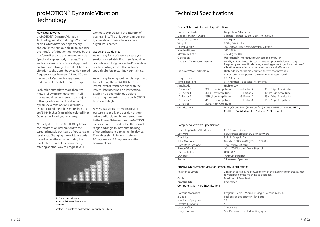### proMOTION™ Dynamic Vibration **Technology**

#### How Does it Work?

proMOTION™ Dynamic Vibration Technology uses high strength Vectran® cables, which have been specifically chosen for their unique ability to optimize the transfer of vibrations generated by the platform directly to the targeted muscle Specifically upper body muscles. The Vectran cables, which pound-by-pound are five times stronger than steel, transfer vibration to the upper body at high-speed frequency rates between 25 and 50 times per second. Vectran<sup>®</sup> is a registered trademark of Hoechst Celanese Corp

Each cable extends to more than two meters, allowing for movement in all planes and directions, so you can enjoy full range of movement and infinite dynamic exercise options. WARNING: Do not extend the cables more than 215 cm/84.64 inches (passed the colored line). Doing so will void your warranty.

Not only does the proMOTION optimize the transmission of vibrations to the targeted muscle but it also offers variable resistance. Changing the resistance puts more load on the muscles during the most intense part of the movement, offering another way to progress your

workouts by increasing the intensity of your training. The unique gel dampening system also increases the resistance as you work harder.

#### Usage and Guidelines

As with any form of exercise, cease your session immediately if you feel faint, dizzy or ill while working out on the Power Plate® machine. Always consult a doctor or specialist before restarting your training.

As with any training routine, it is important to start using the proMOTION on the lowest level of resistance and with the Power Plate machine on a low setting. Establish a good technique before increasing the setting on the proMOTION from low to high.

Always pay special attention to your posture, especially the position of your wrists and back, and how close you are to the Power Plate machine. proMOTION cables should be used within the normal range and angle to maximize training effect and prevent damaging the device. The cables should be used between 90 degrees and 25 degrees from the horizontal base.



Shift lever towards you to increase; shift away from you to decrease

Vectran<sup>®</sup> is a registered trademark of Hoechst Celanes Corp.

### Technical Specifications

#### Power Plate<sup>®</sup> pro7™ Technical Specifications

| Color (standard)                     |                     | Graphite or Silverstone                           |                                                                                                                                                                                            |
|--------------------------------------|---------------------|---------------------------------------------------|--------------------------------------------------------------------------------------------------------------------------------------------------------------------------------------------|
| Dimensions ( $W \times D \times H$ ) |                     | 96cm x 116cm x 152cm / 38in x 46in x 60in         |                                                                                                                                                                                            |
| Base surface area                    | $0.50$ sq.m         |                                                   |                                                                                                                                                                                            |
| Weight                               |                     | 202kg / 445lb (Est.)                              |                                                                                                                                                                                            |
| Power Supply                         |                     | 100-240V, 50/60 Hertz, Universal Voltage          |                                                                                                                                                                                            |
| <b>Nominal Power</b>                 |                     | 160-265W                                          |                                                                                                                                                                                            |
| Maximum Load                         |                     | 227.2kg / 500lb                                   |                                                                                                                                                                                            |
| Operation                            |                     | User-friendly interactive touch screen computer   |                                                                                                                                                                                            |
| DualSync Twin Motor System           |                     |                                                   | DualSync Twin Motor System maintains precise balance at any<br>frequency and amplitude level, allowing perfect synchronization of<br>vibration for maximum muscle response and efficiency. |
| PrecisionWave Technology             |                     |                                                   | High-fidelity harmonic vibration system that provides                                                                                                                                      |
|                                      |                     |                                                   | uncompromising performance for unsurpassed results.                                                                                                                                        |
| Frequencies                          |                     | 25 - 50 Hertz                                     |                                                                                                                                                                                            |
| <b>Time Selections</b>               |                     | 0 - 9 minutes (15 second increments)              |                                                                                                                                                                                            |
| Amplitude                            |                     | High or Low                                       |                                                                                                                                                                                            |
| G-Factor 0                           | 25Hz/Low Amplitude  | G-Factor 5                                        | 35Hz/High Amplitude                                                                                                                                                                        |
| G-Factor 1                           | 30Hz/Low Amplitude  | G-Factor 6                                        | 40Hz/High Amplitude                                                                                                                                                                        |
| G-Factor <sub>2</sub>                | 35Hz/Low Amplitude  | G-Factor 7                                        | 45Hz/High Amplitude                                                                                                                                                                        |
| G-Factor 3                           | 40Hz/Low Amplitude  | G-Factor 8                                        | 50Hz/High Amplitude                                                                                                                                                                        |
| G-Factor 4                           | 30Hz/High Amplitude |                                                   |                                                                                                                                                                                            |
| Certifications                       |                     |                                                   | MDD, CE and EMC (TUV certified); RoHS / WEEE compliant, NRTL,                                                                                                                              |
|                                      |                     | C-NRTL, FDA listed as Class 1 device, 510k exempt |                                                                                                                                                                                            |

#### Computer & Software Specifications

| <b>Operating System Windows</b> | CE 6.0 Professional                   |
|---------------------------------|---------------------------------------|
| Software                        | Power Plate proprietary pro7 software |
| Graphics                        | <b>Built in Graphic Card</b>          |
| <b>Total Memory</b>             | Mobile-DDR SDRAM (133Hz): 256MB       |
| Hard Drive (Storage)            | 32GB micro-SD card                    |
| Screen/Monitor                  | 10.1' LCD Display (800 x 480 pixel)   |
| USB Port/Hub                    | USB 1.0 Port                          |
| LAN port                        | 10/100M Ethernet                      |
| Audio                           | 2 Recessed Speakers                   |
|                                 |                                       |

#### proMOTION™ Dynamic Vibration Technology Specifications

| Resistance Levels                  | 7 resistance levels. Pull toward front of the machine to increase. Push<br>toward back of the machine to decrease. |
|------------------------------------|--------------------------------------------------------------------------------------------------------------------|
| Cable                              | Maximum 2.2m / 98.4in                                                                                              |
| proMOTION                          | Embedded                                                                                                           |
| Computer & Software Specifications |                                                                                                                    |

| <b>Exercise Modalities</b> | Program, Express Workout, Single Exercise, Manual |
|----------------------------|---------------------------------------------------|
| 3 Goals                    | Feel Better, Look Better, Play Better             |
| Number of programs         | 25                                                |
| Levels/Durations           |                                                   |
| User profiles              | Thousands                                         |
| Usage Control              | Yes; Password enabled locking system              |
|                            |                                                   |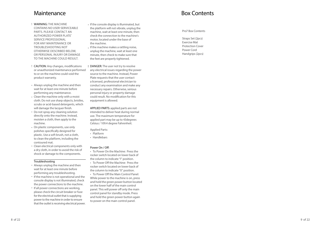### **Maintenance**

- WARNING: THE MACHINE CONTAINS NO USER-SERVICEABLE PARTS. PLEASE CONTACT AN AUTHORIZED POWER PLATE ® SERVICE PROFESSIONAL FOR ANY MAINTENANCE OR TROUBLESHOOTING NOT OTHERWISE DESCRIBED BELOW, OR PERSONAL INJURY OR DAMAGE TO THE MACHINE COULD RESULT. !!••••••••
- CAUTION: Any changes, modifications or unauthorized maintenance performed to or on the machine could void the product warranty.
- Always unplug the machine and then wait for at least one minute before performing any maintenance.
- Clean the machine only with a moist cloth. Do not use sharp objects, bristles, scrubs or acid-based detergents, which will damage the lacquer finish.
- Do not spray any cleaning solution directly onto the machine. Instead, moisten a cloth, then apply to the machine.
- On plastic components, use only polishes specifically designed for plastic. Use a soft brush, not a cloth, to clean the platform, including the contoured mat.
- Clean electrical components only with a dry cloth, in order to avoid the risk of shock or damage to the components.

#### Troubleshooting

- Always unplug the machine and then wait for at least one minute before performing any troubleshooting.
- If the machine is not operational and the console display is not illuminated, check the power connections to the machine.
- If all power connections are working, please check the circuit breaker or fuse for the electrical outlet that is supplying power to the machine in order to ensure that the outlet is receiving electrical power.
- If the console display is illuminated, but the platform will not vibrate, unplug the machine, wait at least one minute, then check the connection to the machine's motor, located under the base of the machine. •<br>•<br>!
- If the machine makes a rattling noise, unplug the machine, wait at least one minute, then check to make sure that the feet are properly tightened.
- DANGER : The user not try to resolve any electrical issues regarding the power source to the machine. Instead, Power Plate requests that the user contact a licensed, professional electrician to conduct any examination and make any necessary repairs. Otherwise, serious personal injury or property damage could result. No modification for this equipment is allowed.

APPLIED PARTS: applied parts are not intended to deliver heat during normal use. The maximum temperature for applied part may be up to 43degrees Celsius / 109.4 degree Fahrenheit.

- Applied Parts:
- Platform
- Handlebars

- Power On / Off:<br>• To Power On the Machine: Press the rocker switch located on lower back of the column to indicate "I" position.<br>• To Power Off the Machine: Press the
- rocker switch located on lower back of the column to indicate "0" position.<br>• To Power Off the Main Control Panel:
- While power to the machine is on, press and hold the green power button located on the lower half of the main control panel. This will power off only the main control panel for standby mode. Press and hold the green power button again to power on the main control panel.

## Box Contents

Pro7 Box Contents

Straps Set (2pcs) Exercise Mat Protection Cover Power Cord Handgrips (2pcs)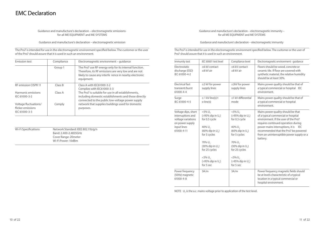Guidance and manufacture's declaration – electromagnetic emissionsfor all ME EQUIPMENT and ME SYSTEMS

Guidance and manufacture's declaration – electromagnetic emission

The Pro7 is intended for use in the electromagnetic environment specified below. The customer or the user of the Pro7 should assure that it is used in such an environment.

| <b>Emission test</b>                                        | Compliance | Electromagnetic environment – quidance                                                                                                                                                 |
|-------------------------------------------------------------|------------|----------------------------------------------------------------------------------------------------------------------------------------------------------------------------------------|
|                                                             | Group 1    | The Pro7 use RF energy only for its internal function.<br>Therefore, its RF emissions are very low and are not<br>likely to cause any interfe rence in nearby electronic<br>equipment. |
| <b>RF</b> emission CISPR 11                                 | Class B    | Class A with IEC61000-3-2<br>Complies with IEC61000-3-3                                                                                                                                |
| Harmonic emissions<br>IEC 61000-3-2                         | Class A    | The Pro7 is suitable for use in all establishments.<br>including domestic establishments and those directly<br>connected to the public low-voltage power supply                        |
| Voltage fluctuations/<br>flicker emissions<br>IEC 61000-3-3 | Comply     | network that supplies buildings used for domestic<br>purposes.                                                                                                                         |

Wi-Fi Specifications Network Standard: IEEE 802.11b/g/n Band: 2.400-2.4835GHz Cover Range: 20meter Wi-Fi Power: 10dBm

#### Guidance and manufacture's declaration – electromagnetic immunity – for all ME EQUIPMENT and ME SYSTEMS

Guidance and manufacture's declaration – electromagnetic immunity

The Pro7 is intended for use in the electromagnetic environment specified below. The customer or the user of Pro7 should assure that it is used in such an environment.

| Immunity test                                                                                                  | IEC 60601 test level                                                                                                                                                                                                                                                    | Compliance level                                                                                                                                                                                                                                                                     | Electromagnetic environment - quidance                                                                                                                                                                                                                                                               |
|----------------------------------------------------------------------------------------------------------------|-------------------------------------------------------------------------------------------------------------------------------------------------------------------------------------------------------------------------------------------------------------------------|--------------------------------------------------------------------------------------------------------------------------------------------------------------------------------------------------------------------------------------------------------------------------------------|------------------------------------------------------------------------------------------------------------------------------------------------------------------------------------------------------------------------------------------------------------------------------------------------------|
| Electrostatic<br>discharge (ESD)<br>IEC 61000-4-2                                                              | ±6 kV contact<br>±8 kV air                                                                                                                                                                                                                                              | ±6 kV contact<br>$\pm 8$ kV air                                                                                                                                                                                                                                                      | Floors should be wood, concrete or<br>ceramic tile. If floor are covered with<br>synthetic material, the relative humidity<br>should be at least 30%.                                                                                                                                                |
| Electrical fast<br>transient/burst<br>61000-4-4                                                                | ±2 kV for power<br>supply lines                                                                                                                                                                                                                                         | ±2kV for power<br>supply lines                                                                                                                                                                                                                                                       | Mains power quality should be that of<br>a typical commercial or hospital IEC<br>environment.                                                                                                                                                                                                        |
| Surge<br>IEC 61000-4-5                                                                                         | $± 1$ kV line(s) t<br>o line(s)                                                                                                                                                                                                                                         | ±1 kV differential<br>mode                                                                                                                                                                                                                                                           | Mains power quality should be that of<br>a typical commercial or hospital<br>environment.                                                                                                                                                                                                            |
| Voltage dips, short<br>interruptions and<br>voltage variations<br>on power supply<br>input lines<br>61000-4-11 | $<$ 5% $U_{-}$<br>$(>95\%$ dip in U <sub>-</sub> )<br>for 0.5 cycle<br>40% $U7$<br>$(60\%$ dip in $U_{\tau}$ )<br>for 5 cycles<br>70% U <sub>-</sub><br>$(30\%$ dip in $U_{\tau}$ )<br>for 25 cycles<br>$<$ 5% $U_{T}$<br>$(>95\%$ dip in U <sub>-</sub> )<br>for 5 sec | $<$ 5% U <sub><math>-</math></sub><br>$(>95\%$ dip in $U_{\tau}$ )<br>for 0.5 cycle<br>40% $U_{\tau}$<br>$(60\%$ dip in $U_{\tau}$ )<br>for 5 cycles<br>70% U <sub>-</sub><br>$(30\%$ dip in $U_{\tau}$ )<br>for 25 cycles<br>$<$ 5% $U_{T}$<br>$(>95\%$ dip in $U_7$ )<br>for 5 sec | Mains power quality should be that<br>of a typical commercial or hospital<br>environment. If the user of the Pro7<br>requires continued operation during<br>power mains interruptions, it is<br>IEC<br>recommended that the Pro7 be powered<br>from an uninterruptible power supply or a<br>battery. |
| Power frequency<br>(50Hz) magnetic<br>61000-4-8                                                                | 3A/m                                                                                                                                                                                                                                                                    | 3A/m                                                                                                                                                                                                                                                                                 | Power frequency magnetic fields should<br>be at levels characteristic of a typical<br>location in a typical commercial or<br>hospital environment.                                                                                                                                                   |

NOTE  $\mathsf{U}_{\tau}$  is the a.c. mains voltage prior to application of the test level.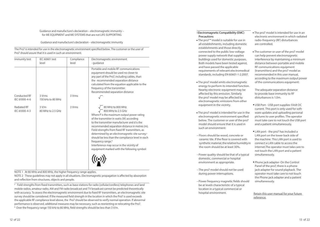#### Guidance and manufacture's declaration – electromagnetic immunity – for ME EQUIPMENT and ME SYSTEMS that are not LIFE-SUPPORTING

#### Guidance and manufacture's declaration – electromagnetic immunity

The Pro7 is intended for use in the electromagnetic environment specified below. The customer or the user of Pro7 should assure that it is used in such an environment.

| Immunity test                       | IEC 60601 test<br>level     | Compliance<br>level | Electromagnetic environment<br>- quidance                                                                                                                                                                                                                                                                                                                                                                                                                                                                                                               |
|-------------------------------------|-----------------------------|---------------------|---------------------------------------------------------------------------------------------------------------------------------------------------------------------------------------------------------------------------------------------------------------------------------------------------------------------------------------------------------------------------------------------------------------------------------------------------------------------------------------------------------------------------------------------------------|
| Conducted RF<br>IEC 61000-4-6       | 3 Vrms<br>150 kHz to 80 MHz | 3 Vrms              | Portable and mobile RF communications<br>equipment should be used no closer to<br>any part of the Pro7, including cables, than<br>the recommended separation distance<br>calculated from the equation applicable to the<br>frequency of the transmitter.<br>Recommended separation distance                                                                                                                                                                                                                                                             |
| <b>Radiated RF</b><br>IEC 61000-4-3 | 3 V/m<br>80 MHz to 2.5 GHz  | 3 Vrms              | $\sqrt{80}$ MHz to 800 MHz<br>$\sqrt{800}$ MHz to 2.5 GHz<br>Where P is the maximum output power rating<br>of the transmitter in watts (W) according<br>to the transmitter manufacturer and d is the<br>recommended separation distance in metres (m).<br>Field strengths from fixed RF transmitters, as<br>determined by an electromagnetic site survey, <sup>a</sup><br>should be less than the compliance level in each<br>frequency range. <sup>b</sup><br>Interference may occur in the vicinity of<br>equipment marked with the following symbol: |

NOTE 1 At 80 MHz and 800 MHz, the higher frequency range applies.

NOTE 2 These guidelines may not apply in all situations. Electromagnetic propagation is affected by absorption and reflection from structures, objects and people.

a Field strengths from fixed transmitters, such as base stations for radio (cellular/cordless) telephones and land mobile radios, amateur radio, AM and FM radio broadcast and TV broadcast cannot be predicted theoretically with accuracy. To assess the electromagnetic environment due to fixed RF transmitters, an electromagnetic site survey should be considered. If the measured field strength in the location in which the Pro7 is used exceeds the applicable RF compliance level above, the Pro7 should be observed to verify normal operation. If abnormal performance is observed, additional measures may be necessary, such as reorienting or relocating the Pro7. <sup>b</sup> Over the frequency range 150 kHz to 80 MHz, field strengths should be less than 3 V/m.

#### ! Electromagnetic Compatibility (EMC) **Precautions**

- The pro7™ model is suitable for use in all establishments, including domestic establishments and those directly connected to the public low-voltage power supply network that supplies buildings used for domestic purposes. Both models have been tested against, and have passed the applicable requirements of relevant electromedical standards, including EN 60601-1-2:2007.
- The pro7 model emits electromagnetic energy to perform its intended function. Nearby electronic equipment may be affected by this emission. Similarly the pro7 model may be affected by electromagnetic emissions from other equipment in the vicinity.
- The pro7 model is intended for use in the electromagnetic environment specified below. The customer or user of the pro7 model should ensure that it is used in such an environment:
- Floors should be wood, concrete or ceramic tile. If the floor is covered with synthetic material, the relative humidity in the room should be at least 30%.
- Power quality should be that of a typical domestic, commercial or hospital environment as appropriate.
- The pro7 model should not be used during power interruptions.
- Power frequency magnetic fields should be at levels characteristic of a typical location in a typical commercial or hospital environment.

 The pro7 model is intended for use in an electronic environment in which radiated radio-frequency (RF) disturbances are controlled.

 The customer or user of the pro7 model can help prevent electromagnetic interference by maintaining a minimum distance between portable and mobile RF communications equipment (transmitters) and the pro7 model as recommended in this user manual, according to the maximum output power of the communications equipment:

The adequate separation distance to provide base immunity to RF disturbances is 1.0m.

- USB Port USB port supplies 5Volt DC current. This port is only used for software updates and uploading personal pictures to user profiles. The operator must take care to not touch the USB port and a patient simultaneously.
- LAN port the pro7 has included a LAN port on the lower back side of the machine. This LAN port is used to connect a LAN cable to access the internet.The operator must take care to not touch the LAN port and a patient simultaneously.
- Phone jack adapter- On the Control Panel of the pro7, there is a phone jack adapter for sound playback. The operator must take care to not touch the Phone jack adapter and a patient simultaneously.

Retain this user manual for your future reference.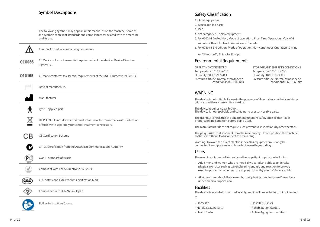### Symbol Descriptions

The following symbols may appear in this manual or on the machine. Some of the symbols represent standards and compliances associated with the machine and its use.

Caution: Consult accompanying documents

CE Mark: conforms to essential requirements of the Medical Device Directive  $C\epsilon$ 0086 93/42/EEC.

 $C60168$ CE Mark: conforms to essential requirements of the R&TTE Directive 1999/5/EC

إديابه Date of manufacture.

Manufacturer

Type B applied part

DISPOSAL: Do not dispose this product as unsorted municipal waste. Collection of such waste separately for special treatment is necessary.

CВ CB Certification Scheme

C-TICK Certification from the Australian Communications Authority

(PG GOST - Standard of Russia

√

Compliant with RoHS Directive 2002/95/EC

(60c) CQC Safety and EMC Product Certification Mark

Compliance with DENAN law Japan

### Follow instructions for use

Safety Classification

1. Class I equipment;

2. Type B applied part;

3. IPX0;

- 4. Not category AP / APG equipment;
- 5. For 60601-1 2nd edition, Mode of operation: Short Time Operation : Max. of 4 minutes / This is for North America and Canada
- 6. For 60601-1 3rd edition, Mode of operation: Non-continuous Operation : 9 mins

on/ 3 hours off / This is for Europe

#### Environmental Requirements

OPERATING CONDITIONS Temperature: 10ºC to 40ºC Humidity: 10% to 95% RH Pressure altitude: Normal atmospheric conditions/ 860-1060hPa

STORAGE AND SHIPPING CONDITIONS Temperature: 10ºC to 40ºC Humidity: 10% to 95% RH Pressure altitude: Normal atmospheric conditions/ 860-1060hPa

#### WARNING

The device is not suitable for use in the presence of flammable anesthetic mixtures with air or with oxygen or nitrous oxide.

The device requires no calibration. The device is not repairable and contains no user serviceable parts.

The user must check that the equipment functions safely and see that it is in proper working condition before being used.

The manufacturer does not require such preventive inspections by other persons.

The plug is used to disconnect from the main supply. Do not position the machine so that it is difficult to disconnect the main plug.

Warning: To avoid the risk of electric shock, this equipment must only be connected to a supply main with protective earth grounding.

#### Users

The machine is intended for use by a diverse patient population including:

- Adult men and women who are medically cleared and able to undertake physical exercises such as weight bearing and ground reaction force type exercise programs. In general this applies to healthy adults (16+ years old).
- All others users should be cleared by their physician and only use Power Plate under medical supervision.

#### **Facilities**

The device is intended to be used in all types of facilities including, but not limited to:

- Domestic  **Hospitals, Clinics** 
	-
- Hotels, Spas, Resorts  **Rehabilitation Centers**
- Health Clubs  **Active Aging Communities**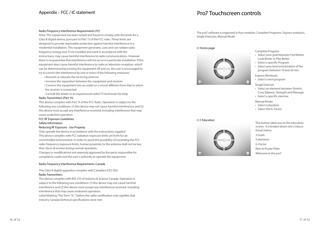### Appendix – FCC / IC statement

### Pro7 Touchscreen controls

#### Radio Frequency Interference Requirements-FCC

Note: This equipment has been tested and found to comply with the limits for a Class B digital device, pursuant to Part 15 of the FCC rules. These limits are designed to provide reasonable protection against harmful interference in a residential installation. This equipment generates, uses and can radiate radio frequency energy and, if not installed and used in accordance with the instructions, may cause harmful interference to radio communications. However there is no guarantee that interference will not occur in a particular installation. If this equipment does cause harmful interference to radio or television reception, which can be determined by turning the equipment off and on, the user is encouraged to try to correct the interference by one or more of the following measures:

- Reorient or relocate the receiving antenna
- Increase the separation between the equipment and receiver
- Connect the equipment into an outlet on a circuit different from that to which the receiver is connected
- Consult the dealer or an experienced radio/TV technician for help.

#### Radio Transmitters (Part 15)

This device complies with Part 15 of the FCC Rules. Operation is subject to the following two conditions: (1) this device may not cause harmful interference, and (2) this device must accept any interference received, including interference that may cause undesired operation.

#### FCC RF Exposure Guidelines

#### Safety Information

#### Reducing RF Exposure - Use Properly

Only operate the device in accordance with the instructions supplied. This device complies with FCC radiation exposure limits set forth for an uncontrolled environment. In order to avoid the possibility of exceeding the FCC radio frequency exposure limits, human proximity to the antenna shall not be less than 20cm (8 inches) during normal operation.

Changes or modifications not expressly approved by the party responsible for compliance could void the user's authority to operate the equipment.

#### Radio Frequency Interference Requirements-Canada

This Class B digital apparatus complies with Canadian ICES-003.

#### Radio Transmitters

This device complies with RSS 210 of Industry & Science Canada. Operation is subject to the following two conditions: (1) this device may not cause harmful interference and (2) this device must accept any interference received, including interference that may cause undesired operation.

Label Marking: The Term "IC:" before the radio certification only signifies that Industry Canada technical specifications were met.

The pro7 software is organized in four modules: Complete Programs, Express workouts, Single Exercises, Manual Mode.

I.1 Home page



Complete Program:

- Select your goal between Feel Better, Look Better or Play Better
- Select a specific Program
- Select your level and duration of the program between 10 and 30 min.
- Express Workouts:
- Select a mini program
- Single Exercise:
- Select an element between Stretch, Core, Balance, Strength and Massage
- Select a specific exercise.

Manual Mode:

- Select a duration
- Select the G-Factor

I.1.1 Education



This button takes you to the education screen. It is broken down into 5 educational videos 3 Goals 5 elements G-Factor New to Power Plate Welcome to the pro7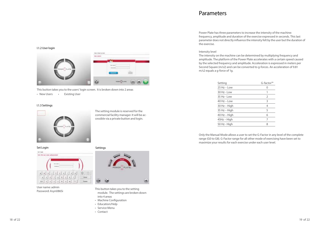### **Parameters**

Power Plate has three parameters to increase the intensity of the machine: frequency, amplitude and duration of the exercise expressed in seconds. This last parameter does not directly influence the intensity felt by the user but the duration of the exercise.

#### Intensity level

The intensity on the machine can be determined by multiplying frequency and amplitude. The platform of the Power Plate accelerates with a certain speed caused by the selected frequency and amplitude. Acceleration is expressed in meters per Second Square (m/s2) and can be converted to g-forces. An acceleration of 9.81 m/s2 equals a g-force of 1g.

| Setting          | G-factor <sup>™</sup> |
|------------------|-----------------------|
| $25$ Hz - Low    | 0                     |
| $30$ Hz - Low    | 1                     |
| $35 Hz - 1$ $0W$ | 2                     |
| $40$ Hz – Low    | 3                     |
| 30 Hz - High     | 4                     |
| 35 Hz - High     | 5                     |
| 40 Hz - High     | 6                     |
| 45Hz - High      | 7                     |
| 50 Hz - High     | 8                     |
|                  |                       |

Only the Manual Mode allows a user to set the G-Factor in any level of the complete range (G0 to G8). G-Factor range for all other mode of exercising have been set to maximize your results for each exercise under each user level.

I.1.2 User login



This button takes you to the users' login screen. It is broken down into 2 areas

• New Users • Existing User

#### I.1.3 Settings



The setting module is reserved for the commercial facility manager. It will be accessible via a private button and login.

#### Set Login Settings



User name: admin



- User name: admin<br>Password: Asyn086Si This button takes you to the setting<br>maghle The orthogons brakes in the setting of the setting of the setting module. The settings are broken down into 4 areas
	- Machine Configuration
	- Education/Help
	- Service Menu
	- Contact